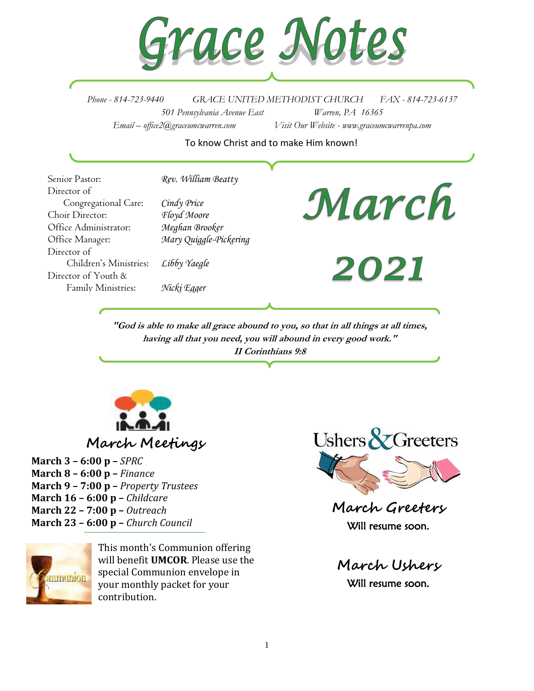

*Phone - 814-723-9440 GRACE UNITED METHODIST CHURCH FAX - 814-723-6137 501 Pennsylvania Avenue East Warren, PA 16365 Email – office2@graceumcwarren.com Visit Our Website - www.graceumcwarrenpa.com* 

#### To know Christ and to make Him known!

Senior Pastor: *Rev. William Beatty* Director of Congregational Care: *Cindy Price* Choir Director: *Floyd Moore* Office Administrator: *Meghan Brooker* Office Manager: *Mary Quiggle-Pickering* Director of Children's Ministries: *Libby Yaegle* Director of Youth & Family Ministries: *Nicki Egger*

# March

2021

**"God is able to make all grace abound to you, so that in all things at all times, having all that you need, you will abound in every good work." II Corinthians 9:8**



### **March Meetings**

**March 3 – 6:00 p –** *SPRC* **March 8 – 6:00 p –** *Finance* **March 9 – 7:00 p –** *Property Trustees* **March 16 – 6:00 p –** *Childcare* **March 22 – 7:00 p –** *Outreach* **March 23 – 6:00 p –** *Church Council*



This month's Communion offering will benefit **UMCOR**. Please use the special Communion envelope in your monthly packet for your contribution.



**March Greeters** Will resume soon.

**March Ushers** Will resume soon.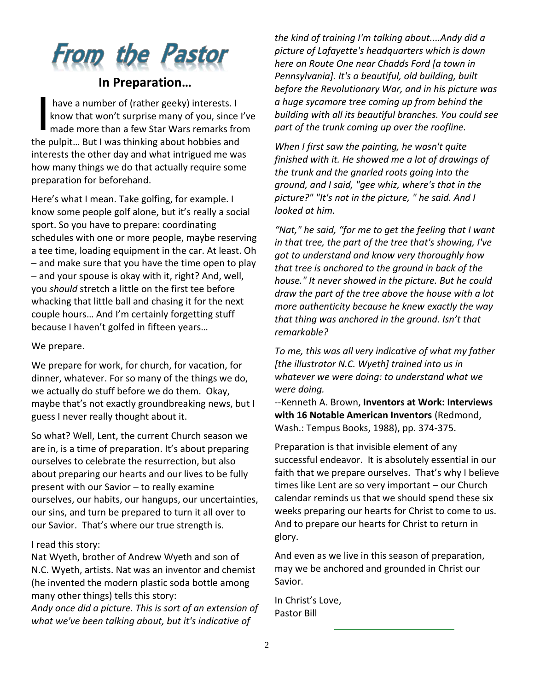# **From the Pastor**

#### **In Preparation…**

have a number of (rather geeky) interests. I know that won't surprise many of you, since I've made more than a few Star Wars remarks from the pulpit… But I was thinking about hobbies and interests the other day and what intrigued me was how many things we do that actually require some preparation for beforehand. I

Here's what I mean. Take golfing, for example. I know some people golf alone, but it's really a social sport. So you have to prepare: coordinating schedules with one or more people, maybe reserving a tee time, loading equipment in the car. At least. Oh – and make sure that you have the time open to play – and your spouse is okay with it, right? And, well, you *should* stretch a little on the first tee before whacking that little ball and chasing it for the next couple hours… And I'm certainly forgetting stuff because I haven't golfed in fifteen years…

We prepare.

We prepare for work, for church, for vacation, for dinner, whatever. For so many of the things we do, we actually do stuff before we do them. Okay, maybe that's not exactly groundbreaking news, but I guess I never really thought about it.

So what? Well, Lent, the current Church season we are in, is a time of preparation. It's about preparing ourselves to celebrate the resurrection, but also about preparing our hearts and our lives to be fully present with our Savior – to really examine ourselves, our habits, our hangups, our uncertainties, our sins, and turn be prepared to turn it all over to our Savior. That's where our true strength is.

#### I read this story:

Nat Wyeth, brother of Andrew Wyeth and son of N.C. Wyeth, artists. Nat was an inventor and chemist (he invented the modern plastic soda bottle among many other things) tells this story:

*Andy once did a picture. This is sort of an extension of what we've been talking about, but it's indicative of* 

*the kind of training I'm talking about....Andy did a picture of Lafayette's headquarters which is down here on Route One near Chadds Ford [a town in Pennsylvania]. It's a beautiful, old building, built before the Revolutionary War, and in his picture was a huge sycamore tree coming up from behind the building with all its beautiful branches. You could see part of the trunk coming up over the roofline.*

*When I first saw the painting, he wasn't quite finished with it. He showed me a lot of drawings of the trunk and the gnarled roots going into the ground, and I said, "gee whiz, where's that in the picture?" "It's not in the picture, " he said. And I looked at him.*

*"Nat," he said, "for me to get the feeling that I want in that tree, the part of the tree that's showing, I've got to understand and know very thoroughly how that tree is anchored to the ground in back of the house." It never showed in the picture. But he could draw the part of the tree above the house with a lot more authenticity because he knew exactly the way that thing was anchored in the ground. Isn't that remarkable?*

*To me, this was all very indicative of what my father [the illustrator N.C. Wyeth] trained into us in whatever we were doing: to understand what we were doing.*

--Kenneth A. Brown, **Inventors at Work: Interviews with 16 Notable American Inventors** (Redmond, Wash.: Tempus Books, 1988), pp. 374-375.

Preparation is that invisible element of any successful endeavor. It is absolutely essential in our faith that we prepare ourselves. That's why I believe times like Lent are so very important – our Church calendar reminds us that we should spend these six weeks preparing our hearts for Christ to come to us. And to prepare our hearts for Christ to return in glory.

And even as we live in this season of preparation, may we be anchored and grounded in Christ our Savior.

In Christ's Love, Pastor Bill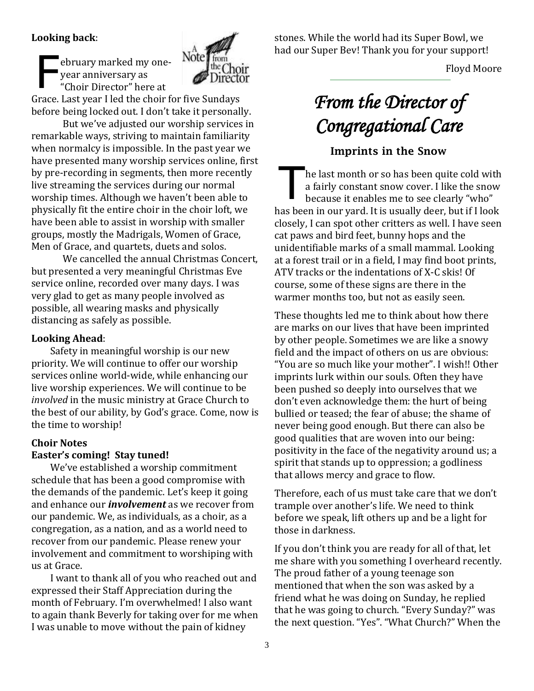#### **Looking back**:

ebruary marked my oneyear anniversary as "Choir Director" here at F



Grace. Last year I led the choir for five Sundays before being locked out. I don't take it personally.

But we've adjusted our worship services in remarkable ways, striving to maintain familiarity when normalcy is impossible. In the past year we have presented many worship services online, first by pre-recording in segments, then more recently live streaming the services during our normal worship times. Although we haven't been able to physically fit the entire choir in the choir loft, we have been able to assist in worship with smaller groups, mostly the Madrigals, Women of Grace, Men of Grace, and quartets, duets and solos.

We cancelled the annual Christmas Concert, but presented a very meaningful Christmas Eve service online, recorded over many days. I was very glad to get as many people involved as possible, all wearing masks and physically distancing as safely as possible.

#### **Looking Ahead**:

Safety in meaningful worship is our new priority. We will continue to offer our worship services online world-wide, while enhancing our live worship experiences. We will continue to be *involved* in the music ministry at Grace Church to the best of our ability, by God's grace. Come, now is the time to worship!

#### **Choir Notes Easter's coming! Stay tuned!**

We've established a worship commitment schedule that has been a good compromise with the demands of the pandemic. Let's keep it going and enhance our *involvement* as we recover from our pandemic. We, as individuals, as a choir, as a congregation, as a nation, and as a world need to recover from our pandemic. Please renew your involvement and commitment to worshiping with us at Grace.

I want to thank all of you who reached out and expressed their Staff Appreciation during the month of February. I'm overwhelmed! I also want to again thank Beverly for taking over for me when I was unable to move without the pain of kidney

stones. While the world had its Super Bowl, we had our Super Bev! Thank you for your support!

Floyd Moore

# *From the Director of Congregational Care*

#### Imprints in the Snow

he last month or so has been quite cold with a fairly constant snow cover. I like the snow because it enables me to see clearly "who" has been in our yard. It is usually deer, but if I look closely, I can spot other critters as well. I have seen cat paws and bird feet, bunny hops and the unidentifiable marks of a small mammal. Looking at a forest trail or in a field, I may find boot prints, ATV tracks or the indentations of X-C skis! Of course, some of these signs are there in the warmer months too, but not as easily seen. T

These thoughts led me to think about how there are marks on our lives that have been imprinted by other people. Sometimes we are like a snowy field and the impact of others on us are obvious: "You are so much like your mother". I wish!! Other imprints lurk within our souls. Often they have been pushed so deeply into ourselves that we don't even acknowledge them: the hurt of being bullied or teased; the fear of abuse; the shame of never being good enough. But there can also be good qualities that are woven into our being: positivity in the face of the negativity around us; a spirit that stands up to oppression; a godliness that allows mercy and grace to flow.

Therefore, each of us must take care that we don't trample over another's life. We need to think before we speak, lift others up and be a light for those in darkness.

If you don't think you are ready for all of that, let me share with you something I overheard recently. The proud father of a young teenage son mentioned that when the son was asked by a friend what he was doing on Sunday, he replied that he was going to church. "Every Sunday?" was the next question. "Yes". "What Church?" When the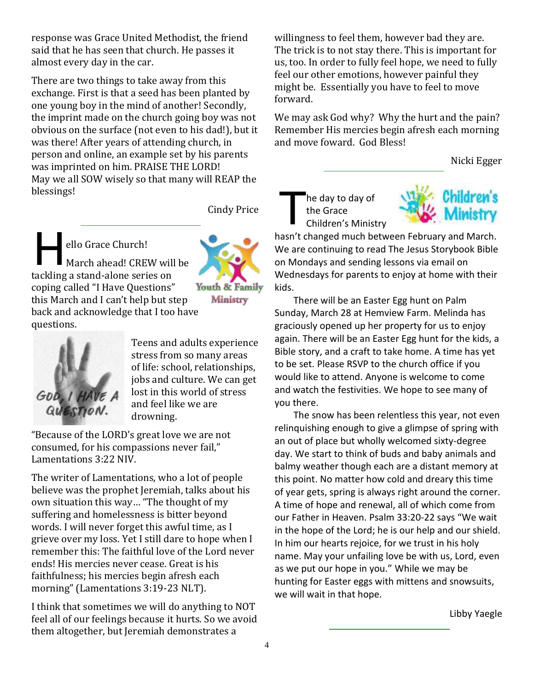response was Grace United Methodist, the friend said that he has seen that church. He passes it almost every day in the car.

There are two things to take away from this exchange. First is that a seed has been planted by one young boy in the mind of another! Secondly, the imprint made on the church going boy was not obvious on the surface (not even to his dad!), but it was there! After years of attending church, in person and online, an example set by his parents was imprinted on him. PRAISE THE LORD! May we all SOW wisely so that many will REAP the blessings!

Cindy Price

ello Grace Church!



Ministry

March ahead! CREW will be tackling a stand-alone series on coping called "I Have Questions" this March and I can't help but step back and acknowledge that I too have questions.  $\prod_{\substack{1\\ \substack{1\\ \substack{1\\ \substack{1\\ \substack{1\\ \substack{1\\ \substack{1\\ \substack{1\\ \substack{1\\ \substack{1\\ \substack{1\\ \substack{1\\ \substack{1\\ \substack{1\\ \substack{1\\ \substack{1\\ \substack{1\\ \substack{1\\ \substack{1\\ \substack{1\\ \substack{1\\ \substack{1\\ \substack{1\\ \substack{1\\ \substack{1\\ \substack{1\\ \substack{1\\ \substack{1\\ \substack{1\\ \substack{1\\ \substack{1}}\\ \substack{1\\ \substack{1}}}}}}}}$ 



Teens and adults experience stress from so many areas of life: school, relationships, jobs and culture. We can get lost in this world of stress and feel like we are drowning.

"Because of the LORD's great love we are not consumed, for his compassions never fail," Lamentations 3:22 NIV.

The writer of Lamentations, who a lot of people believe was the prophet Jeremiah, talks about his own situation this way… "The thought of my suffering and homelessness is bitter beyond words. I will never forget this awful time, as I grieve over my loss. Yet I still dare to hope when I remember this: The faithful love of the Lord never ends! His mercies never cease. Great is his faithfulness; his mercies begin afresh each morning" (Lamentations 3:19-23 NLT).

I think that sometimes we will do anything to NOT feel all of our feelings because it hurts. So we avoid them altogether, but Jeremiah demonstrates a

willingness to feel them, however bad they are. The trick is to not stay there. This is important for us, too. In order to fully feel hope, we need to fully feel our other emotions, however painful they might be. Essentially you have to feel to move forward.

We may ask God why? Why the hurt and the pain? Remember His mercies begin afresh each morning and move foward. God Bless!

Nicki Egger

he day to day of the Grace Children's Ministry T



hasn't changed much between February and March. We are continuing to read The Jesus Storybook Bible on Mondays and sending lessons via email on Wednesdays for parents to enjoy at home with their kids.

There will be an Easter Egg hunt on Palm Sunday, March 28 at Hemview Farm. Melinda has graciously opened up her property for us to enjoy again. There will be an Easter Egg hunt for the kids, a Bible story, and a craft to take home. A time has yet to be set. Please RSVP to the church office if you would like to attend. Anyone is welcome to come and watch the festivities. We hope to see many of you there.

The snow has been relentless this year, not even relinquishing enough to give a glimpse of spring with an out of place but wholly welcomed sixty-degree day. We start to think of buds and baby animals and balmy weather though each are a distant memory at this point. No matter how cold and dreary this time of year gets, spring is always right around the corner. A time of hope and renewal, all of which come from our Father in Heaven. Psalm 33:20-22 says "We wait in the hope of the Lord; he is our help and our shield. In him our hearts rejoice, for we trust in his holy name. May your unfailing love be with us, Lord, even as we put our hope in you." While we may be hunting for Easter eggs with mittens and snowsuits, we will wait in that hope.

Libby Yaegle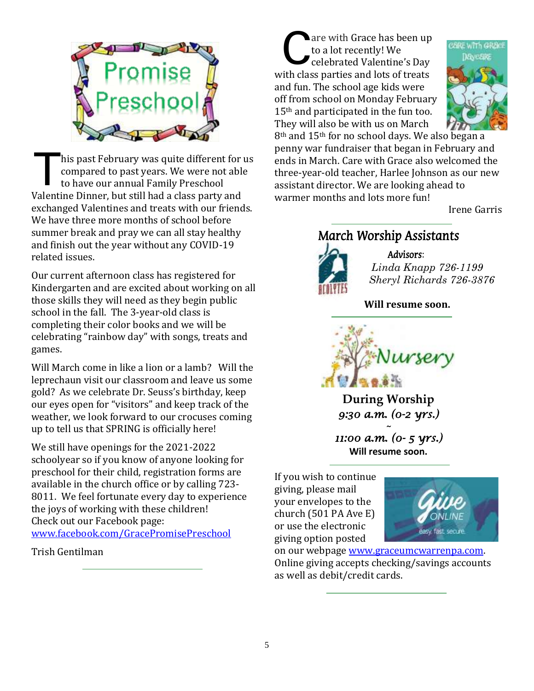

his past February was quite different for us compared to past years. We were not able to have our annual Family Preschool Valentine Dinner, but still had a class party and exchanged Valentines and treats with our friends. We have three more months of school before summer break and pray we can all stay healthy and finish out the year without any COVID-19 related issues. T

Our current afternoon class has registered for Kindergarten and are excited about working on all those skills they will need as they begin public school in the fall. The 3-year-old class is completing their color books and we will be celebrating "rainbow day" with songs, treats and games.

Will March come in like a lion or a lamb? Will the leprechaun visit our classroom and leave us some gold? As we celebrate Dr. Seuss's birthday, keep our eyes open for "visitors" and keep track of the weather, we look forward to our crocuses coming up to tell us that SPRING is officially here!

We still have openings for the 2021-2022 schoolyear so if you know of anyone looking for preschool for their child, registration forms are available in the church office or by calling 723- 8011. We feel fortunate every day to experience the joys of working with these children! Check out our Facebook page: [www.facebook.com/GracePromisePreschool](http://www.facebook.com/GracePromisePreschool)

Trish Gentilman

are with Grace has been up to a lot recently! We celebrated Valentine's Day with class parties and lots of treats and fun. The school age kids were off from school on Monday February 15<sup>th</sup> and participated in the fun too. They will also be with us on March C



8th and 15th for no school days. We also began a penny war fundraiser that began in February and ends in March. Care with Grace also welcomed the three-year-old teacher, Harlee Johnson as our new assistant director. We are looking ahead to warmer months and lots more fun!

Irene Garris

## March Worship Assistants



Advisors: *Linda Knapp 726-1199 Sheryl Richards 726-3876*

**Will resume soon.**



**During Worship** *9:30 a.m. (0-2 yrs.) ~* 

*11:00 a.m. (0- 5 yrs.)*  **Will resume soon.**

If you wish to continue giving, please mail your envelopes to the church (501 PA Ave E) or use the electronic giving option posted



on our webpage [www.graceumcwarrenpa.com.](http://www.graceumcwarrenpa.com/) Online giving accepts checking/savings accounts as well as debit/credit cards.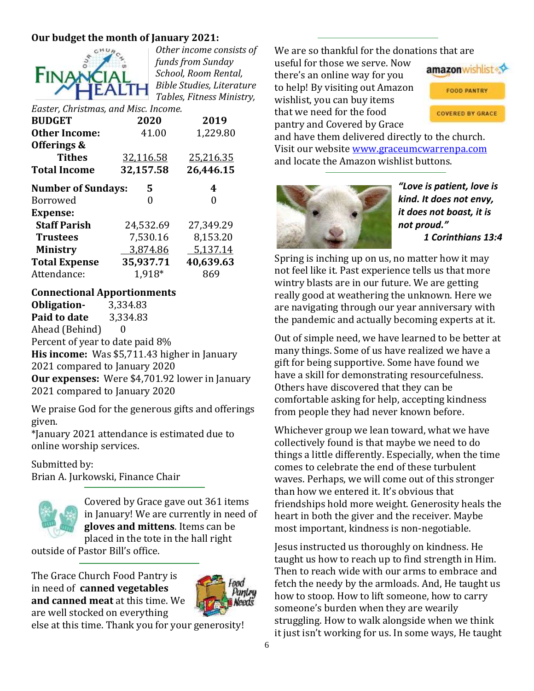#### **Our budget the month of January 2021:**



*Other income consists of funds from Sunday School, Room Rental, Bible Studies, Literature Tables, Fitness Ministry,* 

*Easter, Christmas, and Misc. Income.*

| <b>BUDGET</b>             | 2020      | 2019      |
|---------------------------|-----------|-----------|
| <b>Other Income:</b>      | 41.00     | 1,229.80  |
| Offerings &               |           |           |
| <b>Tithes</b>             | 32,116.58 | 25,216.35 |
| <b>Total Income</b>       | 32,157.58 | 26,446.15 |
| <b>Number of Sundays:</b> | 5         | 4         |
| <b>Borrowed</b>           |           | 0         |
| <b>Expense:</b>           |           |           |
| <b>Staff Parish</b>       | 24,532.69 | 27,349.29 |
| <b>Trustees</b>           | 7,530.16  | 8,153.20  |
| <b>Ministry</b>           | 3,874.86  | 5,137.14  |
| <b>Total Expense</b>      | 35,937.71 | 40,639.63 |
| Attendance:               | 1.918*    | 869       |

#### **Connectional Apportionments**

**Obligation-** 3,334.83 **Paid to date** 3,334.83 Ahead (Behind) 0 Percent of year to date paid 8% **His income:** Was \$5,711.43 higher in January 2021 compared to January 2020 **Our expenses:** Were \$4,701.92 lower in January 2021 compared to January 2020

We praise God for the generous gifts and offerings given.

\*January 2021 attendance is estimated due to online worship services.

Submitted by:

Brian A. Jurkowski, Finance Chair



Covered by Grace gave out 361 items in January! We are currently in need of **gloves and mittens**. Items can be placed in the tote in the hall right

outside of Pastor Bill's office.

The Grace Church Food Pantry is in need of **canned vegetables and canned meat** at this time. We are well stocked on everything



else at this time. Thank you for your generosity!

We are so thankful for the donations that are

useful for those we serve. Now there's an online way for you to help! By visiting out Amazon wishlist, you can buy items that we need for the food pantry and Covered by Grace



**FOOD PANTRY** 

**COVERED BY GRACE** 

and have them delivered directly to the church. Visit our website [www.graceumcwarrenpa.com](http://www.graceumcwarrenpa.com/) and locate the Amazon wishlist buttons.



*"Love is patient, love is kind. It does not envy, it does not boast, it is not proud." 1 Corinthians 13:4*

Spring is inching up on us, no matter how it may not feel like it. Past experience tells us that more wintry blasts are in our future. We are getting really good at weathering the unknown. Here we are navigating through our year anniversary with the pandemic and actually becoming experts at it.

Out of simple need, we have learned to be better at many things. Some of us have realized we have a gift for being supportive. Some have found we have a skill for demonstrating resourcefulness. Others have discovered that they can be comfortable asking for help, accepting kindness from people they had never known before.

Whichever group we lean toward, what we have collectively found is that maybe we need to do things a little differently. Especially, when the time comes to celebrate the end of these turbulent waves. Perhaps, we will come out of this stronger than how we entered it. It's obvious that friendships hold more weight. Generosity heals the heart in both the giver and the receiver. Maybe most important, kindness is non-negotiable.

Jesus instructed us thoroughly on kindness. He taught us how to reach up to find strength in Him. Then to reach wide with our arms to embrace and fetch the needy by the armloads. And, He taught us how to stoop. How to lift someone, how to carry someone's burden when they are wearily struggling. How to walk alongside when we think it just isn't working for us. In some ways, He taught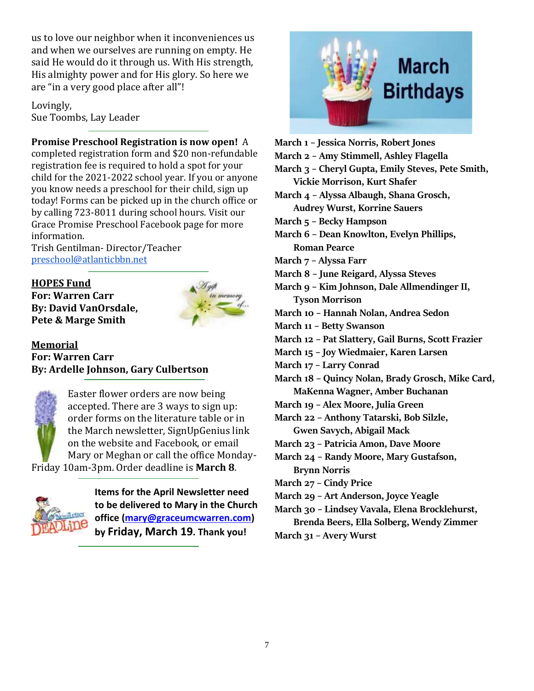us to love our neighbor when it inconveniences us and when we ourselves are running on empty. He said He would do it through us. With His strength, His almighty power and for His glory. So here we are "in a very good place after all"!

Lovingly, Sue Toombs, Lay Leader

#### **Promise Preschool Registration is now open!** A

completed registration form and \$20 non-refundable registration fee is required to hold a spot for your child for the 2021-2022 school year. If you or anyone you know needs a preschool for their child, sign up today! Forms can be picked up in the church office or by calling 723-8011 during school hours. Visit our Grace Promise Preschool Facebook page for more information.

Trish Gentilman- Director/Teacher [preschool@atlanticbbn.net](mailto:preschool@atlanticbbn.net)

#### **HOPES Fund**

**For: Warren Carr By: David VanOrsdale, Pete & Marge Smith**



#### **Memorial For: Warren Carr By: Ardelle Johnson, Gary Culbertson**



Easter flower orders are now being accepted. There are 3 ways to sign up: order forms on the literature table or in the March newsletter, SignUpGenius link on the website and Facebook, or email Mary or Meghan or call the office Monday-Friday 10am-3pm. Order deadline is **March 8**.



**Items for the April Newsletter need to be delivered to Mary in the Church office [\(mary@graceumcwarren.com\)](mailto:mary@graceumcwarren.com) by Friday, March 19. Thank you!**



- **March 1 – Jessica Norris, Robert Jones**
- **March 2 – Amy Stimmell, Ashley Flagella**
- **March 3 – Cheryl Gupta, Emily Steves, Pete Smith,**
- **Vickie Morrison, Kurt Shafer**
- **March 4 – Alyssa Albaugh, Shana Grosch, Audrey Wurst, Korrine Sauers**
- **March 5 – Becky Hampson**
- **March 6 – Dean Knowlton, Evelyn Phillips, Roman Pearce**
- **March 7 – Alyssa Farr**
- **March 8 – June Reigard, Alyssa Steves**
- **March 9 – Kim Johnson, Dale Allmendinger II, Tyson Morrison**
- **March 10 – Hannah Nolan, Andrea Sedon**
- **March 11 – Betty Swanson**
- **March 12 – Pat Slattery, Gail Burns, Scott Frazier**
- **March 15 – Joy Wiedmaier, Karen Larsen**
- **March 17 – Larry Conrad**
- **March 18 – Quincy Nolan, Brady Grosch, Mike Card, MaKenna Wagner, Amber Buchanan**
- **March 19 – Alex Moore, Julia Green**
- **March 22 – Anthony Tatarski, Bob Silzle, Gwen Savych, Abigail Mack**
- **March 23 – Patricia Amon, Dave Moore**
- **March 24 – Randy Moore, Mary Gustafson, Brynn Norris**
- **March 27 – Cindy Price**
- **March 29 – Art Anderson, Joyce Yeagle**
- **March 30 – Lindsey Vavala, Elena Brocklehurst, Brenda Beers, Ella Solberg, Wendy Zimmer**
- **March 31 – Avery Wurst**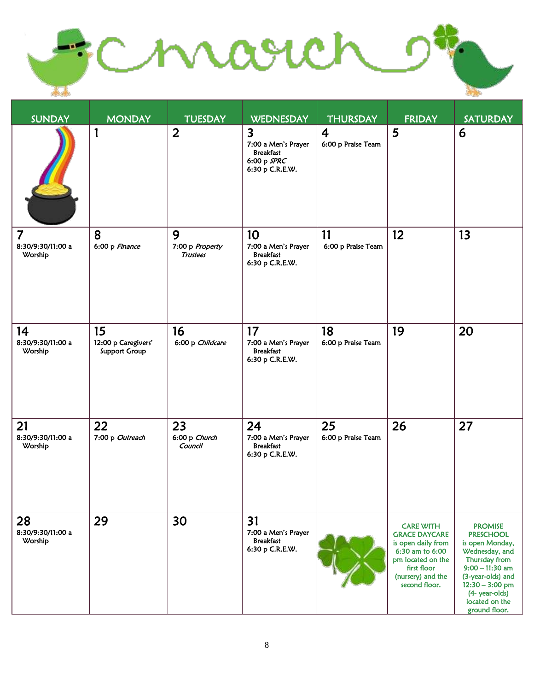Chroven  $-2$  $\overline{11}$ 

| <b>SUNDAY</b>                                  | <b>MONDAY</b>                                     | <b>TUESDAY</b>                          | <b>WEDNESDAY</b>                                                                                     | <b>THURSDAY</b>                      | <b>FRIDAY</b>                                                                                                                                               | <b>SATURDAY</b>                                                                                                                                                                                              |
|------------------------------------------------|---------------------------------------------------|-----------------------------------------|------------------------------------------------------------------------------------------------------|--------------------------------------|-------------------------------------------------------------------------------------------------------------------------------------------------------------|--------------------------------------------------------------------------------------------------------------------------------------------------------------------------------------------------------------|
|                                                | 1                                                 | $\overline{2}$                          | $\overline{\mathbf{3}}$<br>7:00 a Men's Prayer<br><b>Breakfast</b><br>6:00 p SPRC<br>6:30 p C.R.E.W. | $\overline{4}$<br>6:00 p Praise Team | 5                                                                                                                                                           | 6                                                                                                                                                                                                            |
| $\overline{7}$<br>8:30/9:30/11:00 a<br>Worship | 8<br>6:00 p Finance                               | 9<br>7:00 p Property<br><b>Trustees</b> | 10<br>7:00 a Men's Prayer<br><b>Breakfast</b><br>6:30 p C.R.E.W.                                     | 11<br>6:00 p Praise Team             | 12                                                                                                                                                          | 13                                                                                                                                                                                                           |
| 14<br>8:30/9:30/11:00 a<br>Worship             | 15<br>12:00 p Caregivers'<br><b>Support Group</b> | 16<br>6:00 p Childcare                  | 17<br>7:00 a Men's Prayer<br><b>Breakfast</b><br>6:30 p C.R.E.W.                                     | 18<br>6:00 p Praise Team             | 19                                                                                                                                                          | 20                                                                                                                                                                                                           |
| 21<br>8:30/9:30/11:00 a<br>Worship             | 22<br>7:00 p Outreach                             | 23<br>6:00 p Church<br>Council          | 24<br>7:00 a Men's Prayer<br><b>Breakfast</b><br>6:30 p C.R.E.W.                                     | 25<br>6:00 p Praise Team             | 26                                                                                                                                                          | 27                                                                                                                                                                                                           |
| 28<br>8:30/9:30/11:00 a<br>Worship             | 29                                                | 30                                      | 31<br>7:00 a Men's Prayer<br><b>Breakfast</b><br>6:30 p C.R.E.W.                                     |                                      | <b>CARE WITH</b><br><b>GRACE DAYCARE</b><br>is open daily from<br>6:30 am to 6:00<br>pm located on the<br>first floor<br>(nursery) and the<br>second floor. | <b>PROMISE</b><br><b>PRESCHOOL</b><br>is open Monday,<br>Wednesday, and<br>Thursday from<br>$9:00 - 11:30$ am<br>(3-year-olds) and<br>$12:30 - 3:00$ pm<br>(4- year-olds)<br>located on the<br>ground floor. |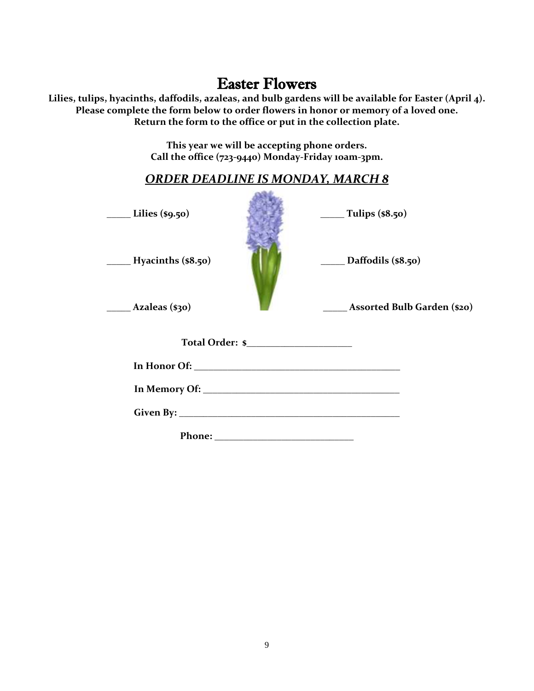# Easter Flowers

**Lilies, tulips, hyacinths, daffodils, azaleas, and bulb gardens will be available for Easter (April 4). Please complete the form below to order flowers in honor or memory of a loved one. Return the form to the office or put in the collection plate.**

> **This year we will be accepting phone orders. Call the office (723-9440) Monday-Friday 10am-3pm.**

| <b>ORDER DEADLINE IS MONDAY, MARCH 8</b> |                                                                                                                                                                                                                                                                                                                                                                                                                       |  |  |  |  |  |
|------------------------------------------|-----------------------------------------------------------------------------------------------------------------------------------------------------------------------------------------------------------------------------------------------------------------------------------------------------------------------------------------------------------------------------------------------------------------------|--|--|--|--|--|
| $\frac{\text{Lilies (}}{\text{s}9.50)}$  | $\frac{1}{\sqrt{1-\frac{1}{1-\frac{1}{1-\frac{1}{1-\frac{1}{1-\frac{1}{1-\frac{1}{1-\frac{1}{1-\frac{1}{1-\frac{1}{1-\frac{1}{1-\frac{1}{1-\frac{1}{1-\frac{1}{1-\frac{1}{1-\frac{1}{1-\frac{1}{1-\frac{1}{1-\frac{1}{1-\frac{1}{1-\frac{1}{1-\frac{1}{1-\frac{1}{1-\frac{1}{1-\frac{1}{1-\frac{1}{1-\frac{1}{1-\frac{1}{1-\frac{1}{1-\frac{1}{1-\frac{1}{1-\frac{1}{1-\frac{1}{1-\frac{1}{1-\frac{1}{1-\frac{1}{1-\$ |  |  |  |  |  |
| $\qquad$ Hyacinths (\$8.50)              | $\_\_\_\$ Daffodils (\$8.50)                                                                                                                                                                                                                                                                                                                                                                                          |  |  |  |  |  |
| $\qquad \qquad$ Azaleas (\$30)           | <b>Assorted Bulb Garden (\$20)</b>                                                                                                                                                                                                                                                                                                                                                                                    |  |  |  |  |  |
|                                          |                                                                                                                                                                                                                                                                                                                                                                                                                       |  |  |  |  |  |
|                                          |                                                                                                                                                                                                                                                                                                                                                                                                                       |  |  |  |  |  |
|                                          |                                                                                                                                                                                                                                                                                                                                                                                                                       |  |  |  |  |  |
|                                          |                                                                                                                                                                                                                                                                                                                                                                                                                       |  |  |  |  |  |
|                                          |                                                                                                                                                                                                                                                                                                                                                                                                                       |  |  |  |  |  |